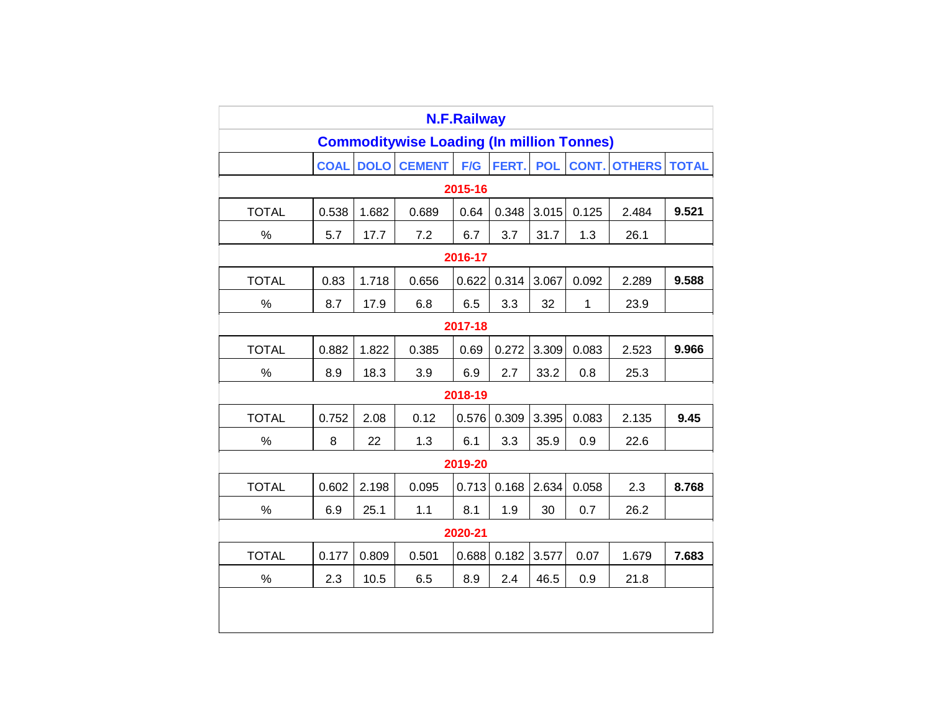|                                                  | <b>N.F.Railway</b> |             |               |         |       |            |       |                     |              |
|--------------------------------------------------|--------------------|-------------|---------------|---------|-------|------------|-------|---------------------|--------------|
| <b>Commoditywise Loading (In million Tonnes)</b> |                    |             |               |         |       |            |       |                     |              |
|                                                  | <b>COAL</b>        | <b>DOLO</b> | <b>CEMENT</b> | F/G     | FERT. | <b>POL</b> |       | <b>CONT. OTHERS</b> | <b>TOTAL</b> |
|                                                  |                    |             |               | 2015-16 |       |            |       |                     |              |
| <b>TOTAL</b>                                     | 0.538              | 1.682       | 0.689         | 0.64    | 0.348 | 3.015      | 0.125 | 2.484               | 9.521        |
| %                                                | 5.7                | 17.7        | 7.2           | 6.7     | 3.7   | 31.7       | 1.3   | 26.1                |              |
|                                                  | 2016-17            |             |               |         |       |            |       |                     |              |
| <b>TOTAL</b>                                     | 0.83               | 1.718       | 0.656         | 0.622   | 0.314 | 3.067      | 0.092 | 2.289               | 9.588        |
| %                                                | 8.7                | 17.9        | 6.8           | 6.5     | 3.3   | 32         | 1     | 23.9                |              |
|                                                  |                    |             |               | 2017-18 |       |            |       |                     |              |
| <b>TOTAL</b>                                     | 0.882              | 1.822       | 0.385         | 0.69    | 0.272 | 3.309      | 0.083 | 2.523               | 9.966        |
| $\%$                                             | 8.9                | 18.3        | 3.9           | 6.9     | 2.7   | 33.2       | 0.8   | 25.3                |              |
|                                                  | 2018-19            |             |               |         |       |            |       |                     |              |
| <b>TOTAL</b>                                     | 0.752              | 2.08        | 0.12          | 0.576   | 0.309 | 3.395      | 0.083 | 2.135               | 9.45         |
| $\%$                                             | 8                  | 22          | 1.3           | 6.1     | 3.3   | 35.9       | 0.9   | 22.6                |              |
|                                                  |                    |             |               | 2019-20 |       |            |       |                     |              |
| <b>TOTAL</b>                                     | 0.602              | 2.198       | 0.095         | 0.713   | 0.168 | 2.634      | 0.058 | 2.3                 | 8.768        |
| %                                                | 6.9                | 25.1        | 1.1           | 8.1     | 1.9   | 30         | 0.7   | 26.2                |              |
| 2020-21                                          |                    |             |               |         |       |            |       |                     |              |
| <b>TOTAL</b>                                     | 0.177              | 0.809       | 0.501         | 0.688   | 0.182 | 3.577      | 0.07  | 1.679               | 7.683        |
| $\%$                                             | 2.3                | 10.5        | 6.5           | 8.9     | 2.4   | 46.5       | 0.9   | 21.8                |              |
|                                                  |                    |             |               |         |       |            |       |                     |              |
|                                                  |                    |             |               |         |       |            |       |                     |              |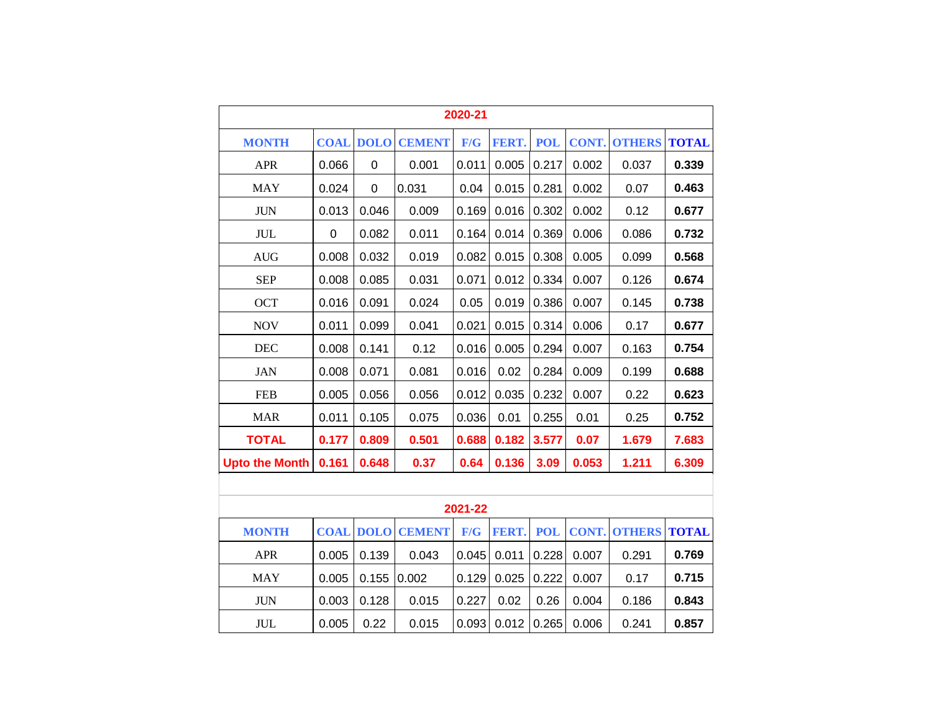|                                  | 2020-21 |                  |                         |       |       |            |       |                     |              |
|----------------------------------|---------|------------------|-------------------------|-------|-------|------------|-------|---------------------|--------------|
| <b>MONTH</b>                     |         | <b>COAL DOLO</b> | <b>CEMENT</b>           | F/G   | FERT. | <b>POL</b> | CONT. | <b>OTHERS</b>       | <b>TOTAL</b> |
| <b>APR</b>                       | 0.066   | 0                | 0.001                   | 0.011 | 0.005 | 0.217      | 0.002 | 0.037               | 0.339        |
| <b>MAY</b>                       | 0.024   | $\mathbf 0$      | 0.031                   | 0.04  | 0.015 | 0.281      | 0.002 | 0.07                | 0.463        |
| <b>JUN</b>                       | 0.013   | 0.046            | 0.009                   | 0.169 | 0.016 | 0.302      | 0.002 | 0.12                | 0.677        |
| <b>JUL</b>                       | 0       | 0.082            | 0.011                   | 0.164 | 0.014 | 0.369      | 0.006 | 0.086               | 0.732        |
| $\mathbf{A}\mathbf{U}\mathbf{G}$ | 0.008   | 0.032            | 0.019                   | 0.082 | 0.015 | 0.308      | 0.005 | 0.099               | 0.568        |
| <b>SEP</b>                       | 0.008   | 0.085            | 0.031                   | 0.071 | 0.012 | 0.334      | 0.007 | 0.126               | 0.674        |
| <b>OCT</b>                       | 0.016   | 0.091            | 0.024                   | 0.05  | 0.019 | 0.386      | 0.007 | 0.145               | 0.738        |
| <b>NOV</b>                       | 0.011   | 0.099            | 0.041                   | 0.021 | 0.015 | 0.314      | 0.006 | 0.17                | 0.677        |
| <b>DEC</b>                       | 0.008   | 0.141            | 0.12                    | 0.016 | 0.005 | 0.294      | 0.007 | 0.163               | 0.754        |
| <b>JAN</b>                       | 0.008   | 0.071            | 0.081                   | 0.016 | 0.02  | 0.284      | 0.009 | 0.199               | 0.688        |
| <b>FEB</b>                       | 0.005   | 0.056            | 0.056                   | 0.012 | 0.035 | 0.232      | 0.007 | 0.22                | 0.623        |
| <b>MAR</b>                       | 0.011   | 0.105            | 0.075                   | 0.036 | 0.01  | 0.255      | 0.01  | 0.25                | 0.752        |
| <b>TOTAL</b>                     | 0.177   | 0.809            | 0.501                   | 0.688 | 0.182 | 3.577      | 0.07  | 1.679               | 7.683        |
| <b>Upto the Month</b>            | 0.161   | 0.648            | 0.37                    | 0.64  | 0.136 | 3.09       | 0.053 | 1.211               | 6.309        |
|                                  |         |                  |                         |       |       |            |       |                     |              |
| 2021-22                          |         |                  |                         |       |       |            |       |                     |              |
| <b>MONTH</b>                     |         |                  | <b>COAL DOLO CEMENT</b> | F/G   | FERT. | <b>POL</b> |       | <b>CONT. OTHERS</b> | <b>TOTAL</b> |
| <b>APR</b>                       | 0.005   | 0.139            | 0.043                   | 0.045 | 0.011 | 0.228      | 0.007 | 0.291               | 0.769        |
| <b>MAY</b>                       | 0.005   | 0.155            | 0.002                   | 0.129 | 0.025 | 0.222      | 0.007 | 0.17                | 0.715        |
| <b>JUN</b>                       | 0.003   | 0.128            | 0.015                   | 0.227 | 0.02  | 0.26       | 0.004 | 0.186               | 0.843        |
| <b>JUL</b>                       | 0.005   | 0.22             | 0.015                   | 0.093 | 0.012 | 0.265      | 0.006 | 0.241               | 0.857        |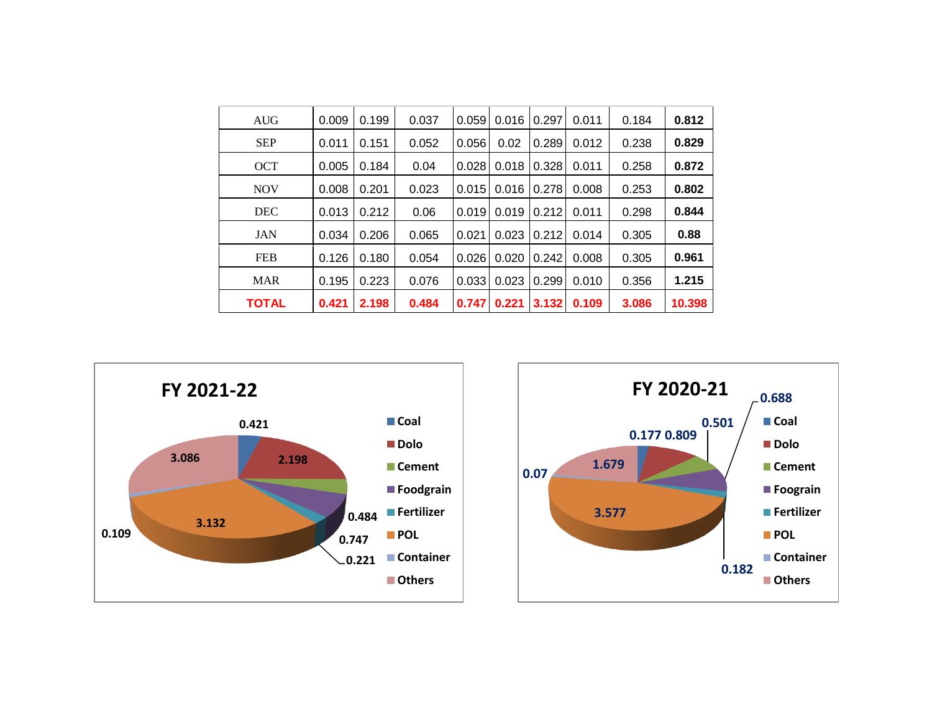| <b>AUG</b>   | 0.009 | 0.199 | 0.037 | 0.059 | 0.016 | 0.297 | 0.011 | 0.184 | 0.812  |
|--------------|-------|-------|-------|-------|-------|-------|-------|-------|--------|
| <b>SEP</b>   | 0.011 | 0.151 | 0.052 | 0.056 | 0.02  | 0.289 | 0.012 | 0.238 | 0.829  |
| <b>OCT</b>   | 0.005 | 0.184 | 0.04  | 0.028 | 0.018 | 0.328 | 0.011 | 0.258 | 0.872  |
| <b>NOV</b>   | 0.008 | 0.201 | 0.023 | 0.015 | 0.016 | 0.278 | 0.008 | 0.253 | 0.802  |
| <b>DEC</b>   | 0.013 | 0.212 | 0.06  | 0.019 | 0.019 | 0.212 | 0.011 | 0.298 | 0.844  |
| <b>JAN</b>   | 0.034 | 0.206 | 0.065 | 0.021 | 0.023 | 0.212 | 0.014 | 0.305 | 0.88   |
| <b>FEB</b>   | 0.126 | 0.180 | 0.054 | 0.026 | 0.020 | 0.242 | 0.008 | 0.305 | 0.961  |
| <b>MAR</b>   | 0.195 | 0.223 | 0.076 | 0.033 | 0.023 | 0.299 | 0.010 | 0.356 | 1.215  |
| <b>TOTAL</b> | 0.421 | 2.198 | 0.484 | 0.747 | 0.221 | 3.132 | 0.109 | 3.086 | 10.398 |